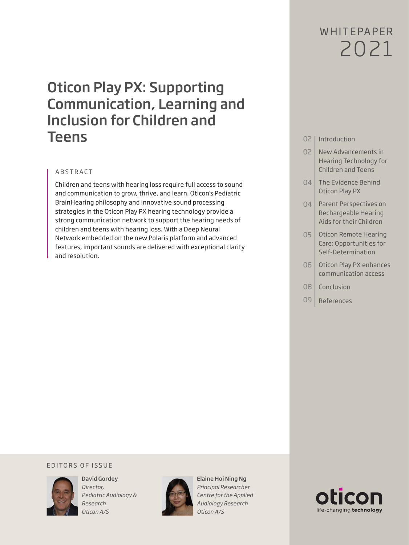# WHITFPAPFR 2021

# Oticon Play PX: Supporting Communication, Learning and Inclusion for Children and Teens

# ABSTRACT

Children and teens with hearing loss require full access to sound and communication to grow, thrive, and learn. Oticon's Pediatric BrainHearing philosophy and innovative sound processing strategies in the Oticon Play PX hearing technology provide a strong communication network to support the hearing needs of children and teens with hearing loss. With a Deep Neural Network embedded on the new Polaris platform and advanced features, important sounds are delivered with exceptional clarity and resolution.

# 02 | Introduction

- 02 New Advancements in Hearing Technology for Children and Teens
- 04 The Evidence Behind Oticon Play PX
- 04 | Parent Perspectives on Rechargeable Hearing Aids for their Children
- 05 | Oticon Remote Hearing Care: Opportunities for Self-Determination
- 06 Oticon Play PX enhances communication access
- 08 Conclusion
- 09 References

## EDITORS OF ISSUE



David Gordey *Director, Pediatric Audiology & Research Oticon A/S*



Elaine Hoi Ning Ng *Principal Researcher Centre for the Applied Audiology Research Oticon A/S*

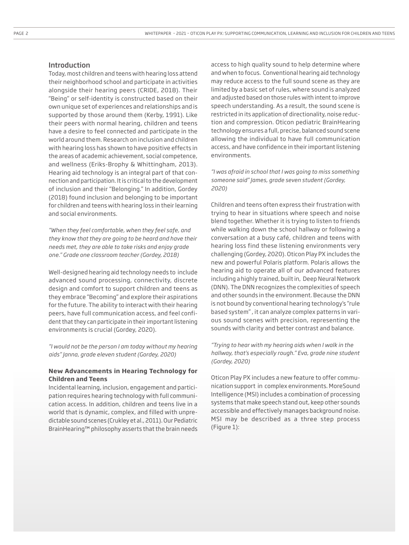## Introduction

Today, most children and teens with hearing loss attend their neighborhood school and participate in activities alongside their hearing peers (CRIDE, 2018). Their "Being" or self-identity is constructed based on their own unique set of experiences and relationships and is supported by those around them (Kerby, 1991). Like their peers with normal hearing, children and teens have a desire to feel connected and participate in the world around them. Research on inclusion and children with hearing loss has shown to have positive effects in the areas of academic achievement, social competence, and wellness (Eriks-Brophy & Whittingham, 2013). Hearing aid technology is an integral part of that connection and participation. It is critical to the development of inclusion and their "Belonging." In addition, Gordey (2018) found inclusion and belonging to be important for children and teens with hearing loss in their learning and social environments.

*"When they feel comfortable, when they feel safe, and they know that they are going to be heard and have their needs met, they are able to take risks and enjoy grade one." Grade one classroom teacher (Gordey, 2018)*

Well-designed hearing aid technology needs to include advanced sound processing, connectivity, discrete design and comfort to support children and teens as they embrace "Becoming" and explore their aspirations for the future. The ability to interact with their hearing peers, have full communication access, and feel confident that they can participate in their important listening environments is crucial (Gordey, 2020).

*"I would not be the person I am today without my hearing aids" Janna, grade eleven student (Gordey, 2020)*

## **New Advancements in Hearing Technology for Children and Teens**

Incidental learning, inclusion, engagement and participation requires hearing technology with full communication access. In addition, children and teens live in a world that is dynamic, complex, and filled with unpredictable sound scenes (Crukley et al., 2011). Our Pediatric BrainHearing™ philosophy asserts that the brain needs

access to high quality sound to help determine where and when to focus. Conventional hearing aid technology may reduce access to the full sound scene as they are limited by a basic set of rules, where sound is analyzed and adjusted based on those rules with intent to improve speech understanding. As a result, the sound scene is restricted in its application of directionality, noise reduction and compression. Oticon pediatric BrainHearing technology ensures a full, precise, balanced sound scene allowing the individual to have full communication access, and have confidence in their important listening environments.

*"I was afraid in school that I was going to miss something someone said" James, grade seven student (Gordey, 2020)*

Children and teens often express their frustration with trying to hear in situations where speech and noise blend together. Whether it is trying to listen to friends while walking down the school hallway or following a conversation at a busy café, children and teens with hearing loss find these listening environments very challenging (Gordey, 2020). Oticon Play PX includes the new and powerful Polaris platform. Polaris allows the hearing aid to operate all of our advanced features including a highly trained, built in, Deep Neural Network (DNN). The DNN recognizes the complexities of speech and other sounds in the environment. Because the DNN is not bound by conventional hearing technology's "rule based system" , it can analyze complex patterns in various sound scenes with precision, representing the sounds with clarity and better contrast and balance.

*"Trying to hear with my hearing aids when I walk in the hallway, that's especially rough." Eva, grade nine student (Gordey, 2020)*

Oticon Play PX includes a new feature to offer communication support in complex environments. MoreSound Intelligence (MSI) includes a combination of processing systems that make speech stand out, keep other sounds accessible and effectively manages background noise. MSI may be described as a three step process (Figure 1):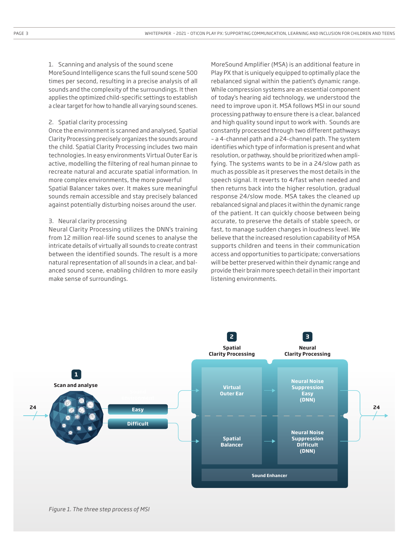1. Scanning and analysis of the sound scene MoreSound Intelligence scans the full sound scene 500 times per second, resulting in a precise analysis of all sounds and the complexity of the surroundings. It then applies the optimized child-specific settings to establish a clear target for how to handle all varying sound scenes.

### 2. Spatial clarity processing

Once the environment is scanned and analysed, Spatial Clarity Processing precisely organizes the sounds around the child. Spatial Clarity Processing includes two main technologies. In easy environments Virtual Outer Ear is active, modelling the filtering of real human pinnae to recreate natural and accurate spatial information. In more complex environments, the more powerful Spatial Balancer takes over. It makes sure meaningful sounds remain accessible and stay precisely balanced against potentially disturbing noises around the user.

#### 3. Neural clarity processing

Neural Clarity Processing utilizes the DNN's training from 12 million real-life sound scenes to analyse the intricate details of virtually all sounds to create contrast between the identified sounds. The result is a more natural representation of all sounds in a clear, and balanced sound scene, enabling children to more easily make sense of surroundings.

MoreSound Amplifier (MSA) is an additional feature in Play PX that is uniquely equipped to optimally place the rebalanced signal within the patient's dynamic range. While compression systems are an essential component of today's hearing aid technology, we understood the need to improve upon it. MSA follows MSI in our sound processing pathway to ensure there is a clear, balanced and high quality sound input to work with. Sounds are constantly processed through two different pathways – a 4-channel path and a 24-channel path. The system identifies which type of information is present and what resolution, or pathway, should be prioritized when amplifying. The systems wants to be in a 24/slow path as much as possible as it preserves the most details in the speech signal. It reverts to 4/fast when needed and then returns back into the higher resolution, gradual response 24/slow mode. MSA takes the cleaned up rebalanced signal and places it within the dynamic range of the patient. It can quickly choose between being accurate, to preserve the details of stable speech, or fast, to manage sudden changes in loudness level. We believe that the increased resolution capability of MSA supports children and teens in their communication access and opportunities to participate; conversations will be better preserved within their dynamic range and provide their brain more speech detail in their important listening environments.

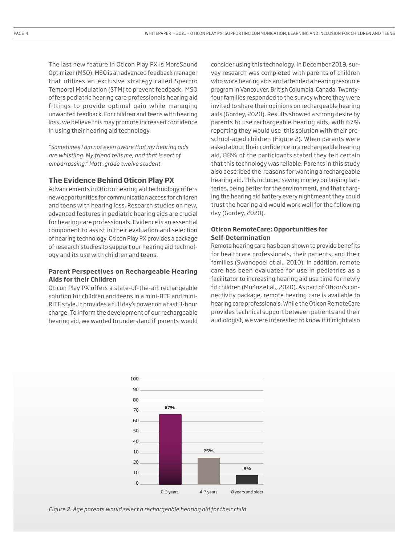The last new feature in Oticon Play PX is MoreSound Optimizer (MSO). MSO is an advanced feedback manager that utilizes an exclusive strategy called Spectro Temporal Modulation (STM) to prevent feedback. MSO offers pediatric hearing care professionals hearing aid fittings to provide optimal gain while managing unwanted feedback. For children and teens with hearing loss, we believe this may promote increased confidence in using their hearing aid technology.

*"Sometimes I am not even aware that my hearing aids are whistling. My friend tells me, and that is sort of embarrassing." Matt, grade twelve student*

## **The Evidence Behind Oticon Play PX**

Advancements in Oticon hearing aid technology offers new opportunities for communication access for children and teens with hearing loss. Research studies on new, advanced features in pediatric hearing aids are crucial for hearing care professionals. Evidence is an essential component to assist in their evaluation and selection of hearing technology. Oticon Play PX provides a package of research studies to support our hearing aid technology and its use with children and teens.

## **Parent Perspectives on Rechargeable Hearing Aids for their Children**

Oticon Play PX offers a state-of-the-art rechargeable solution for children and teens in a mini-BTE and mini-RITE style. It provides a full day's power on a fast 3-hour charge. To inform the development of our rechargeable hearing aid, we wanted to understand if parents would

consider using this technology. In December 2019, survey research was completed with parents of children who wore hearing aids and attended a hearing resource program in Vancouver, British Columbia, Canada. Twentyfour families responded to the survey where they were invited to share their opinions on rechargeable hearing aids (Gordey, 2020). Results showed a strong desire by parents to use rechargeable hearing aids, with 67% reporting they would use this solution with their preschool-aged children (Figure 2). When parents were asked about their confidence in a rechargeable hearing aid, 88% of the participants stated they felt certain that this technology was reliable. Parents in this study also described the reasons for wanting a rechargeable hearing aid. This included saving money on buying batteries, being better for the environment, and that charging the hearing aid battery every night meant they could trust the hearing aid would work well for the following day (Gordey, 2020).

## **Oticon RemoteCare: Opportunities for Self-Determination**

Remote hearing care has been shown to provide benefits for healthcare professionals, their patients, and their families (Swanepoel et al., 2010). In addition, remote care has been evaluated for use in pediatrics as a facilitator to increasing hearing aid use time for newly fit children (Muñoz et al., 2020). As part of Oticon's connectivity package, remote hearing care is available to hearing care professionals. While the Oticon RemoteCare provides technical support between patients and their audiologist, we were interested to know if it might also



*Figure 2. Age parents would select a rechargeable hearing aid for their child*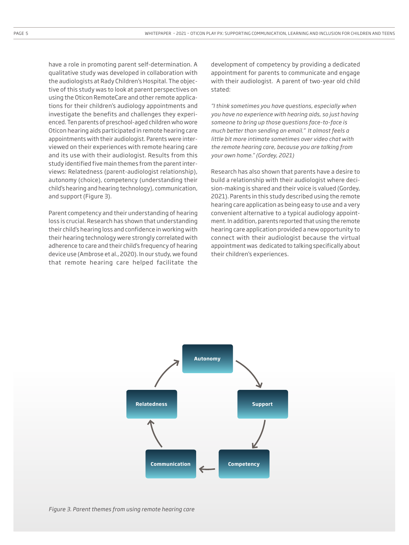have a role in promoting parent self-determination. A qualitative study was developed in collaboration with the audiologists at Rady Children's Hospital. The objective of this study was to look at parent perspectives on using the Oticon RemoteCare and other remote applications for their children's audiology appointments and investigate the benefits and challenges they experienced. Ten parents of preschool-aged children who wore Oticon hearing aids participated in remote hearing care appointments with their audiologist. Parents were interviewed on their experiences with remote hearing care and its use with their audiologist. Results from this study identified five main themes from the parent interviews: Relatedness (parent-audiologist relationship), autonomy (choice), competency (understanding their child's hearing and hearing technology), communication, and support (Figure 3).

Parent competency and their understanding of hearing loss is crucial. Research has shown that understanding their child's hearing loss and confidence in working with their hearing technology were strongly correlated with adherence to care and their child's frequency of hearing device use (Ambrose et al., 2020). In our study, we found that remote hearing care helped facilitate the

development of competency by providing a dedicated appointment for parents to communicate and engage with their audiologist. A parent of two-year old child stated:

*"I think sometimes you have questions, especially when you have no experience with hearing aids, so just having someone to bring up those questions face-to-face is much better than sending an email." It almost feels a little bit more intimate sometimes over video chat with the remote hearing care, because you are talking from your own home." (Gordey, 2021)*

Research has also shown that parents have a desire to build a relationship with their audiologist where decision-making is shared and their voice is valued (Gordey, 2021). Parents in this study described using the remote hearing care application as being easy to use and a very convenient alternative to a typical audiology appointment. In addition, parents reported that using the remote hearing care application provided a new opportunity to connect with their audiologist because the virtual appointment was dedicated to talking specifically about their children's experiences.

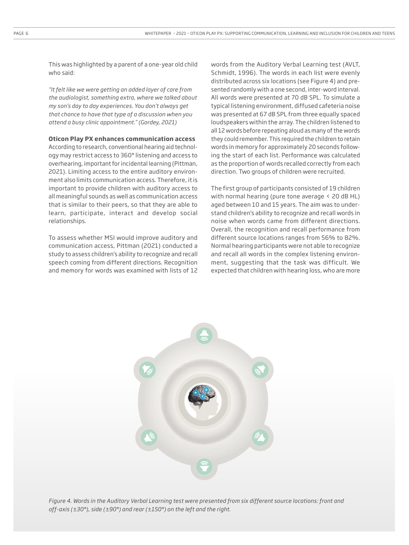This was highlighted by a parent of a one-year old child who said:

*"It felt like we were getting an added layer of care from the audiologist, something extra, where we talked about my son's day to day experiences. You don't always get that chance to have that type of a discussion when you attend a busy clinic appointment." (Gordey, 2021)*

## **Oticon Play PX enhances communication access**

According to research, conventional hearing aid technology may restrict access to 360° listening and access to overhearing, important for incidental learning (Pittman, 2021). Limiting access to the entire auditory environment also limits communication access. Therefore, it is important to provide children with auditory access to all meaningful sounds as well as communication access that is similar to their peers, so that they are able to learn, participate, interact and develop social relationships.

To assess whether MSI would improve auditory and communication access, Pittman (2021) conducted a study to assess children's ability to recognize and recall speech coming from different directions. Recognition and memory for words was examined with lists of 12 words from the Auditory Verbal Learning test (AVLT, Schmidt, 1996). The words in each list were evenly distributed across six locations (see Figure 4) and presented randomly with a one second, inter-word interval. All words were presented at 70 dB SPL. To simulate a typical listening environment, diffused cafeteria noise was presented at 67 dB SPL from three equally spaced loudspeakers within the array. The children listened to all 12 words before repeating aloud as many of the words they could remember. This required the children to retain words in memory for approximately 20 seconds following the start of each list. Performance was calculated as the proportion of words recalled correctly from each direction. Two groups of children were recruited.

The first group of participants consisted of 19 children with normal hearing (pure tone average  $\leq$  20 dB HL) aged between 10 and 15 years. The aim was to understand children's ability to recognize and recall words in noise when words came from different directions. Overall, the recognition and recall performance from different source locations ranges from 56% to 82%. Normal hearing participants were not able to recognize and recall all words in the complex listening environment, suggesting that the task was difficult. We expected that children with hearing loss, who are more



*Figure 4. Words in the Auditory Verbal Learning test were presented from six different source locations: front and off-axis (±30°), side (±90°) and rear (±150°) on the left and the right.*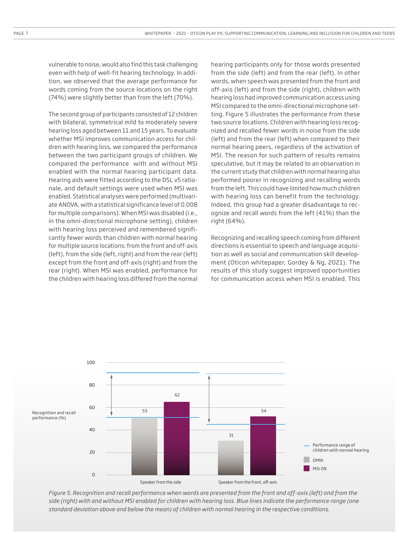vulnerable to noise, would also find this task challenging even with help of well-fit hearing technology. In addition, we observed that the average performance for words coming from the source locations on the right (74%) were slightly better than from the left (70%).

The second group of participants consisted of 12 children with bilateral, symmetrical mild to moderately severe hearing loss aged between 11 and 15 years. To evaluate whether MSI improves communication access for children with hearing loss, we compared the performance between the two participant groups of children. We compared the performance with and without MSI enabled with the normal hearing participant data. Hearing aids were fitted according to the DSL v5 rationale, and default settings were used when MSI was enabled. Statistical analyses were performed (multivariate ANOVA, with a statistical significance level of 0.008 for multiple comparisons). When MSI was disabled (i.e., in the omni-directional microphone setting), children with hearing loss perceived and remembered significantly fewer words than children with normal hearing for multiple source locations: from the front and off-axis (left), from the side (left, right) and from the rear (left) except from the front and off-axis (right) and from the rear (right). When MSI was enabled, performance for the children with hearing loss differed from the normal

hearing participants only for those words presented from the side (left) and from the rear (left). In other words, when speech was presented from the front and off-axis (left) and from the side (right), children with hearing loss had improved communication access using MSI compared to the omni-directional microphone setting. Figure 5 illustrates the performance from these two source locations. Children with hearing loss recognized and recalled fewer words in noise from the side (left) and from the rear (left) when compared to their normal hearing peers, regardless of the activation of MSI. The reason for such pattern of results remains speculative, but it may be related to an observation in the current study that children with normal hearing also performed poorer in recognizing and recalling words from the left. This could have limited how much children with hearing loss can benefit from the technology. Indeed, this group had a greater disadvantage to recognize and recall words from the left (41%) than the right (64%).

Recognizing and recalling speech coming from different directions is essential to speech and language acquisition as well as social and communication skill development (Oticon whitepaper, Gordey & Ng, 2021). The results of this study suggest improved opportunities for communication access when MSI is enabled. This



*Figure 5. Recognition and recall performance when words are presented from the front and off-axis (left) and from the side (right) with and without MSI enabled for children with hearing loss. Blue lines indicate the performance range (one standard deviation above and below the mean) of children with normal hearing in the respective conditions.*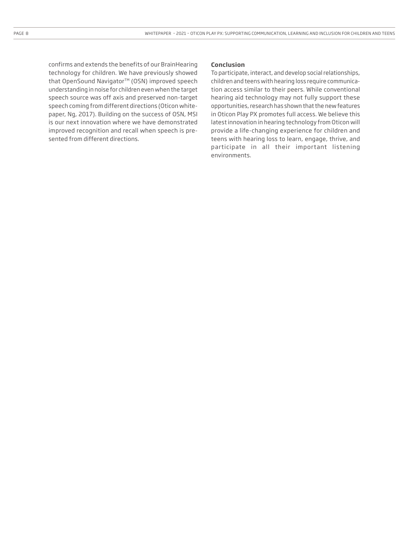confirms and extends the benefits of our BrainHearing technology for children. We have previously showed that OpenSound Navigator™ (OSN) improved speech understanding in noise for children even when the target speech source was off axis and preserved non-target speech coming from different directions (Oticon whitepaper, Ng, 2017). Building on the success of OSN, MSI is our next innovation where we have demonstrated improved recognition and recall when speech is presented from different directions.

#### **Conclusion**

To participate, interact, and develop social relationships, children and teens with hearing loss require communication access similar to their peers. While conventional hearing aid technology may not fully support these opportunities, research has shown that the new features in Oticon Play PX promotes full access. We believe this latest innovation in hearing technology from Oticon will provide a life-changing experience for children and teens with hearing loss to learn, engage, thrive, and participate in all their important listening environments.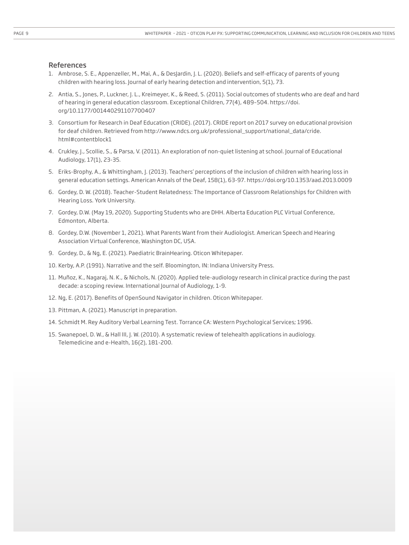### References

- 1. Ambrose, S. E., Appenzeller, M., Mai, A., & DesJardin, J. L. (2020). Beliefs and self-efficacy of parents of young children with hearing loss. Journal of early hearing detection and intervention, 5(1), 73.
- 2. Antia, S., Jones, P., Luckner, J. L., Kreimeyer, K., & Reed, S. (2011). Social outcomes of students who are deaf and hard of hearing in general education classroom. Exceptional Children, 77(4), 489–504. https://doi. org/10.1177/001440291107700407
- 3. Consortium for Research in Deaf Education (CRIDE). (2017). CRIDE report on 2017 survey on educational provision for deaf children. Retrieved from http://www.ndcs.org.uk/professional\_support/national\_data/cride. html#contentblock1
- 4. Crukley, J., Scollie, S., & Parsa, V. (2011). An exploration of non-quiet listening at school. Journal of Educational Audiology, 17(1), 23-35.
- 5. Eriks-Brophy, A., & Whittingham, J. (2013). Teachers' perceptions of the inclusion of children with hearing loss in general education settings. American Annals of the Deaf, 158(1), 63-97. https://doi.org/10.1353/aad.2013.0009
- 6. Gordey, D. W. (2018). Teacher-Student Relatedness: The Importance of Classroom Relationships for Children with Hearing Loss. York University.
- 7. Gordey, D.W. (May 19, 2020). Supporting Students who are DHH. Alberta Education PLC Virtual Conference, Edmonton, Alberta.
- 8. Gordey, D.W. (November 1, 2021). What Parents Want from their Audiologist. American Speech and Hearing Association Virtual Conference, Washington DC, USA.
- 9. Gordey, D., & Ng, E. (2021). Paediatric BrainHearing. Oticon Whitepaper.
- 10. Kerby, A.P. (1991). Narrative and the self. Bloomington, IN: Indiana University Press.
- 11. Muñoz, K., Nagaraj, N. K., & Nichols, N. (2020). Applied tele-audiology research in clinical practice during the past decade: a scoping review. International Journal of Audiology, 1-9.
- 12. Ng, E. (2017). Benefits of OpenSound Navigator in children. Oticon Whitepaper.
- 13. Pittman, A. (2021). Manuscript in preparation.
- 14. Schmidt M. Rey Auditory Verbal Learning Test. Torrance CA: Western Psychological Services; 1996.
- 15. Swanepoel, D. W., & Hall III, J. W. (2010). A systematic review of telehealth applications in audiology. Telemedicine and e-Health, 16(2), 181-200.